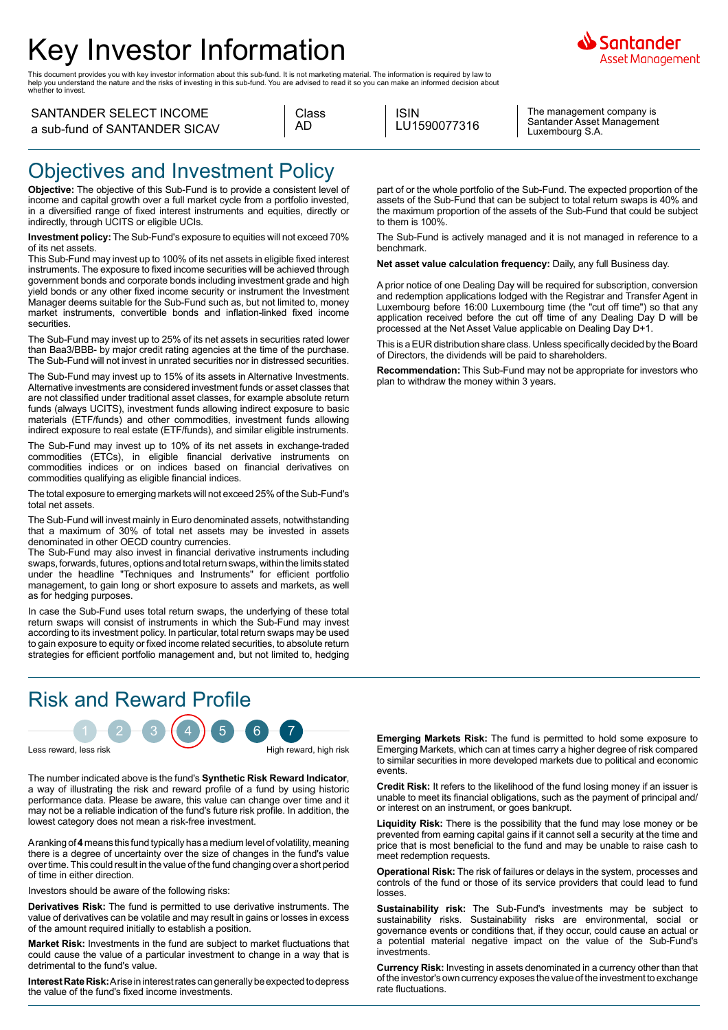# Key Investor Information

This document provides you with key investor information about this sub-fund. It is not marketing material. The information is required by law to<br>help you understand the nature and the risks of investing in this sub-fund.

#### SANTANDER SELECT INCOME a sub-fund of SANTANDER SICAV

| a sub-fund of SANTANDER SICAV |  |  |
|-------------------------------|--|--|
|                               |  |  |

| Class |  |
|-------|--|
| AD    |  |

ISIN LU1590077316

The management company is Santander Asset Management Luxembourg S.A.

iantander Asset Management

## Objectives and Investment Policy

**Objective:** The objective of this Sub-Fund is to provide a consistent level of income and capital growth over a full market cycle from a portfolio invested, in a diversified range of fixed interest instruments and equities, directly or indirectly, through UCITS or eligible UCIs.

**Investment policy:** The Sub-Fund's exposure to equities will not exceed 70% of its net assets.

This Sub-Fund may invest up to 100% of its net assets in eligible fixed interest instruments. The exposure to fixed income securities will be achieved through government bonds and corporate bonds including investment grade and high yield bonds or any other fixed income security or instrument the Investment Manager deems suitable for the Sub-Fund such as, but not limited to, money market instruments, convertible bonds and inflation-linked fixed income securities.

The Sub-Fund may invest up to 25% of its net assets in securities rated lower than Baa3/BBB- by major credit rating agencies at the time of the purchase. The Sub-Fund will not invest in unrated securities nor in distressed securities.

The Sub-Fund may invest up to 15% of its assets in Alternative Investments. Alternative investments are considered investment funds or asset classes that are not classified under traditional asset classes, for example absolute return funds (always UCITS), investment funds allowing indirect exposure to basic materials (ETF/funds) and other commodities, investment funds allowing indirect exposure to real estate (ETF/funds), and similar eligible instruments.

The Sub-Fund may invest up to 10% of its net assets in exchange-traded commodities (ETCs), in eligible financial derivative instruments on commodities indices or on indices based on financial derivatives on commodities qualifying as eligible financial indices.

The total exposure to emerging markets will not exceed 25% of the Sub-Fund's total net assets.

The Sub-Fund will invest mainly in Euro denominated assets, notwithstanding that a maximum of 30% of total net assets may be invested in assets denominated in other OECD country currencies.

The Sub-Fund may also invest in financial derivative instruments including swaps, forwards, futures, options and total return swaps, within the limits stated under the headline "Techniques and Instruments" for efficient portfolio management, to gain long or short exposure to assets and markets, as well as for hedging purposes.

In case the Sub-Fund uses total return swaps, the underlying of these total return swaps will consist of instruments in which the Sub-Fund may invest according to its investment policy. In particular, total return swaps may be used to gain exposure to equity or fixed income related securities, to absolute return strategies for efficient portfolio management and, but not limited to, hedging

# Risk and Reward Profile

 $1 - 2 - 3 + 4 + 5 - 6 - 7$ Less reward, less risk **High reward, high risk** High reward, high risk

The number indicated above is the fund's **Synthetic Risk Reward Indicator**, a way of illustrating the risk and reward profile of a fund by using historic performance data. Please be aware, this value can change over time and it may not be a reliable indication of the fund's future risk profile. In addition, the lowest category does not mean a risk-free investment.

A ranking of **4** means this fund typically has a medium level of volatility, meaning there is a degree of uncertainty over the size of changes in the fund's value over time. This could result in the value of the fund changing over a short period of time in either direction.

Investors should be aware of the following risks:

**Derivatives Risk:** The fund is permitted to use derivative instruments. The value of derivatives can be volatile and may result in gains or losses in excess of the amount required initially to establish a position.

**Market Risk:** Investments in the fund are subject to market fluctuations that could cause the value of a particular investment to change in a way that is detrimental to the fund's value.

**Interest Rate Risk:** A rise in interest rates can generally be expected to depress the value of the fund's fixed income investments.

part of or the whole portfolio of the Sub-Fund. The expected proportion of the assets of the Sub-Fund that can be subject to total return swaps is 40% and the maximum proportion of the assets of the Sub-Fund that could be subject to them is 100%.

The Sub-Fund is actively managed and it is not managed in reference to a benchmark.

**Net asset value calculation frequency:** Daily, any full Business day.

A prior notice of one Dealing Day will be required for subscription, conversion and redemption applications lodged with the Registrar and Transfer Agent in Luxembourg before 16:00 Luxembourg time (the "cut off time") so that any application received before the cut off time of any Dealing Day D will be processed at the Net Asset Value applicable on Dealing Day D+1.

This is a EUR distribution share class. Unless specifically decided by the Board of Directors, the dividends will be paid to shareholders.

**Recommendation:** This Sub-Fund may not be appropriate for investors who plan to withdraw the money within 3 years.

**Emerging Markets Risk:** The fund is permitted to hold some exposure to Emerging Markets, which can at times carry a higher degree of risk compared to similar securities in more developed markets due to political and economic events.

**Credit Risk:** It refers to the likelihood of the fund losing money if an issuer is unable to meet its financial obligations, such as the payment of principal and/ or interest on an instrument, or goes bankrupt.

**Liquidity Risk:** There is the possibility that the fund may lose money or be prevented from earning capital gains if it cannot sell a security at the time and price that is most beneficial to the fund and may be unable to raise cash to meet redemption requests.

**Operational Risk:** The risk of failures or delays in the system, processes and controls of the fund or those of its service providers that could lead to fund losses.

**Sustainability risk:** The Sub-Fund's investments may be subject to sustainability risks. Sustainability risks are environmental, social or governance events or conditions that, if they occur, could cause an actual or a potential material negative impact on the value of the Sub-Fund's investments.

**Currency Risk:** Investing in assets denominated in a currency other than that of the investor's own currency exposes the value of the investment to exchange rate fluctuations.